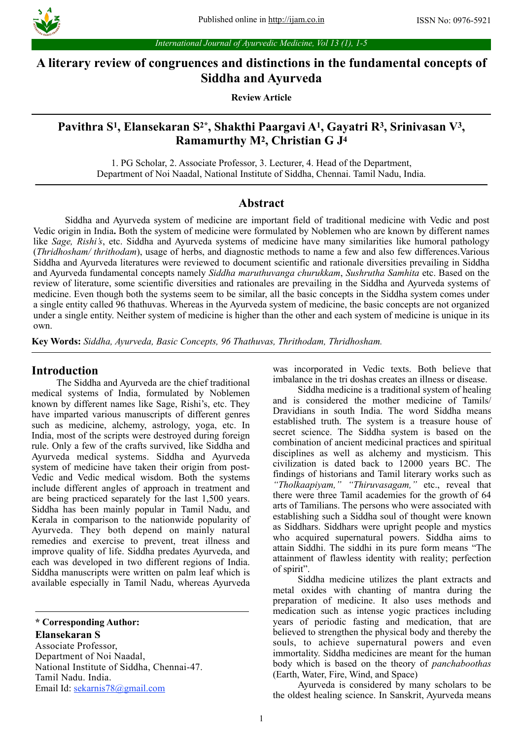

# **A literary review of congruences and distinctions in the fundamental concepts of Siddha and Ayurveda**

**Review Article**

# Pavithra S<sup>1</sup>, Elansekaran S<sup>2\*</sup>, Shakthi Paargavi A<sup>1</sup>, Gayatri R<sup>3</sup>, Srinivasan V<sup>3</sup>, **Ramamurthy M2, Christian G J4**

1. PG Scholar, 2. Associate Professor, 3. Lecturer, 4. Head of the Department, Department of Noi Naadal, National Institute of Siddha, Chennai. Tamil Nadu, India.

### **Abstract**

Siddha and Ayurveda system of medicine are important field of traditional medicine with Vedic and post Vedic origin in India**.** Both the system of medicine were formulated by Noblemen who are known by different names like *Sage, Rishi's*, etc. Siddha and Ayurveda systems of medicine have many similarities like humoral pathology (*Thridhosham/ thrithodam*), usage of herbs, and diagnostic methods to name a few and also few differences.Various Siddha and Ayurveda literatures were reviewed to document scientific and rationale diversities prevailing in Siddha and Ayurveda fundamental concepts namely *Siddha maruthuvanga churukkam*, *Sushrutha Samhita* etc. Based on the review of literature, some scientific diversities and rationales are prevailing in the Siddha and Ayurveda systems of medicine. Even though both the systems seem to be similar, all the basic concepts in the Siddha system comes under a single entity called 96 thathuvas. Whereas in the Ayurveda system of medicine, the basic concepts are not organized under a single entity. Neither system of medicine is higher than the other and each system of medicine is unique in its own.

**Key Words:** *Siddha, Ayurveda, Basic Concepts, 96 Thathuvas, Thrithodam, Thridhosham.* 

#### **Introduction**

The Siddha and Ayurveda are the chief traditional medical systems of India, formulated by Noblemen known by different names like Sage, Rishi's, etc. They have imparted various manuscripts of different genres such as medicine, alchemy, astrology, yoga, etc. In India, most of the scripts were destroyed during foreign rule. Only a few of the crafts survived, like Siddha and Ayurveda medical systems. Siddha and Ayurveda system of medicine have taken their origin from post-Vedic and Vedic medical wisdom. Both the systems include different angles of approach in treatment and are being practiced separately for the last 1,500 years. Siddha has been mainly popular in Tamil Nadu, and Kerala in comparison to the nationwide popularity of Ayurveda. They both depend on mainly natural remedies and exercise to prevent, treat illness and improve quality of life. Siddha predates Ayurveda, and each was developed in two different regions of India. Siddha manuscripts were written on palm leaf which is available especially in Tamil Nadu, whereas Ayurveda

**Elansekaran S**

Associate Professor, Department of Noi Naadal, National Institute of Siddha, Chennai-47. Tamil Nadu. India. Email Id: [sekarnis78@gmail.com](mailto:kurbetrashmi@gmail.com)

was incorporated in Vedic texts. Both believe that imbalance in the tri doshas creates an illness or disease.

Siddha medicine is a traditional system of healing and is considered the mother medicine of Tamils/ Dravidians in south India. The word Siddha means established truth. The system is a treasure house of secret science. The Siddha system is based on the combination of ancient medicinal practices and spiritual disciplines as well as alchemy and mysticism. This civilization is dated back to 12000 years BC. The findings of historians and Tamil literary works such as *"Tholkaapiyam," "Thiruvasagam,"* etc., reveal that there were three Tamil academies for the growth of 64 arts of Tamilians. The persons who were associated with establishing such a Siddha soul of thought were known as Siddhars. Siddhars were upright people and mystics who acquired supernatural powers. Siddha aims to attain Siddhi. The siddhi in its pure form means "The attainment of flawless identity with reality; perfection of spirit".

Siddha medicine utilizes the plant extracts and metal oxides with chanting of mantra during the preparation of medicine. It also uses methods and medication such as intense yogic practices including years of periodic fasting and medication, that are believed to strengthen the physical body and thereby the souls, to achieve supernatural powers and even immortality. Siddha medicines are meant for the human body which is based on the theory of *panchaboothas* (Earth, Water, Fire, Wind, and Space)

Ayurveda is considered by many scholars to be the oldest healing science. In Sanskrit, Ayurveda means

**<sup>\*</sup> Corresponding Author:**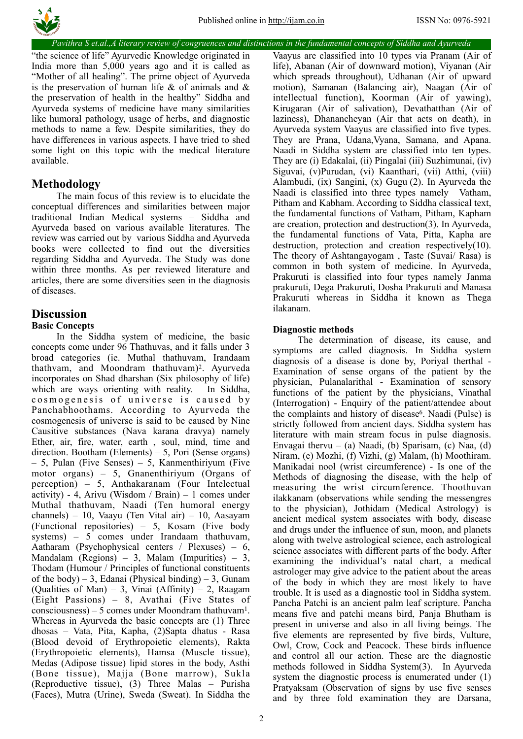

*Pavithra S et.al.,A literary review of congruences and distinctions in the fundamental concepts of Siddha and Ayurveda*

"the science of life" Ayurvedic Knowledge originated in India more than 5,000 years ago and it is called as "Mother of all healing". The prime object of Ayurveda is the preservation of human life  $\&$  of animals and  $\&$ the preservation of health in the healthy" Siddha and Ayurveda systems of medicine have many similarities like humoral pathology, usage of herbs, and diagnostic methods to name a few. Despite similarities, they do have differences in various aspects. I have tried to shed some light on this topic with the medical literature available.

## **Methodology**

The main focus of this review is to elucidate the conceptual differences and similarities between major traditional Indian Medical systems – Siddha and Ayurveda based on various available literatures. The review was carried out by various Siddha and Ayurveda books were collected to find out the diversities regarding Siddha and Ayurveda. The Study was done within three months. As per reviewed literature and articles, there are some diversities seen in the diagnosis of diseases.

## **Discussion**

### **Basic Concepts**

In the Siddha system of medicine, the basic concepts come under 96 Thathuvas, and it falls under 3 broad categories (ie. Muthal thathuvam, Irandaam thathvam, and Moondram thathuvam)2. Ayurveda incorporates on Shad dharshan (Six philosophy of life) which are ways orienting with reality. In Siddha, cosmogenesis of universe is caused by Panchabhoothams. According to Ayurveda the cosmogenesis of universe is said to be caused by Nine Causitive substances (Nava karana dravya) namely Ether, air, fire, water, earth , soul, mind, time and direction. Bootham (Elements) – 5, Pori (Sense organs)  $-5$ , Pulan (Five Senses) – 5, Kanmenthiriyum (Five motor organs) – 5, Gnanenthiriyum (Organs of perception) – 5, Anthakaranam (Four Intelectual activity) - 4, Arivu (Wisdom / Brain) - 1 comes under Muthal thathuvam, Naadi (Ten humoral energy channels) – 10, Vaayu (Ten Vital air) – 10, Aasayam (Functional repositories) – 5, Kosam (Five body systems) –  $5$  comes under Irandaam thathuvam, Aatharam (Psychophysical centers / Plexuses) – 6, Mandalam (Regions) – 3, Malam (Impurities) – 3, Thodam (Humour / Principles of functional constituents of the body) – 3, Edanai (Physical binding) – 3, Gunam (Qualities of Man) – 3, Vinai (Affinity) – 2, Raagam (Eight Passions) – 8, Avathai (Five States of consciousness) – 5 comes under Moondram thathuvam1. Whereas in Ayurveda the basic concepts are (1) Three dhosas – Vata, Pita, Kapha, (2)Sapta dhatus - Rasa (Blood devoid of Erythropoietic elements), Rakta (Erythropoietic elements), Hamsa (Muscle tissue), Medas (Adipose tissue) lipid stores in the body, Asthi (Bone tissue), Majja (Bone marrow), Sukla (Reproductive tissue), (3) Three Malas – Purisha (Faces), Mutra (Urine), Sweda (Sweat). In Siddha the

Vaayus are classified into 10 types via Pranam (Air of life), Abanan (Air of downward motion), Viyanan (Air which spreads throughout), Udhanan (Air of upward motion), Samanan (Balancing air), Naagan (Air of intellectual function), Koorman (Air of yawing), Kirugaran (Air of salivation), Devathatthan (Air of laziness), Dhanancheyan (Air that acts on death), in Ayurveda system Vaayus are classified into five types. They are Prana, Udana,Vyana, Samana, and Apana. Naadi in Siddha system are classified into ten types. They are (i) Edakalai, (ii) Pingalai (iii) Suzhimunai, (iv) Siguvai, (v)Purudan, (vi) Kaanthari, (vii) Atthi, (viii) Alambudi, (ix) Sangini, (x) Gugu (2). In Ayurveda the Naadi is classified into three types namely Vatham, Pitham and Kabham. According to Siddha classical text, the fundamental functions of Vatham, Pitham, Kapham are creation, protection and destruction(3). In Ayurveda, the fundamental functions of Vata, Pitta, Kapha are destruction, protection and creation respectively(10). The theory of Ashtangayogam , Taste (Suvai/ Rasa) is common in both system of medicine. In Ayurveda, Prakuruti is classified into four types namely Janma prakuruti, Dega Prakuruti, Dosha Prakuruti and Manasa Prakuruti whereas in Siddha it known as Thega ilakanam.

### **Diagnostic methods**

The determination of disease, its cause, and symptoms are called diagnosis. In Siddha system diagnosis of a disease is done by, Poriyal therthal - Examination of sense organs of the patient by the physician, Pulanalarithal - Examination of sensory functions of the patient by the physicians, Vinathal (Interrogation) - Enquiry of the patient/attendee about the complaints and history of disease6. Naadi (Pulse) is strictly followed from ancient days. Siddha system has literature with main stream focus in pulse diagnosis. Envagai thervu – (a) Naadi, (b) Sparisam, (c) Naa, (d) Niram, (e) Mozhi, (f) Vizhi, (g) Malam, (h) Moothiram. Manikadai nool (wrist circumference) - Is one of the Methods of diagnosing the disease, with the help of measuring the wrist circumference. Thoothuvan ilakkanam (observations while sending the messengres to the physician), Jothidam (Medical Astrology) is ancient medical system associates with body, disease and drugs under the influence of sun, moon, and planets along with twelve astrological science, each astrological science associates with different parts of the body. After examining the individual's natal chart, a medical astrologer may give advice to the patient about the areas of the body in which they are most likely to have trouble. It is used as a diagnostic tool in Siddha system. Pancha Patchi is an ancient palm leaf scripture. Pancha means five and patchi means bird, Panja Bhutham is present in universe and also in all living beings. The five elements are represented by five birds, Vulture, Owl, Crow, Cock and Peacock. These birds influence and control all our action. These are the diagnostic methods followed in Siddha System(3). In Ayurveda system the diagnostic process is enumerated under (1) Pratyaksam (Observation of signs by use five senses and by three fold examination they are Darsana,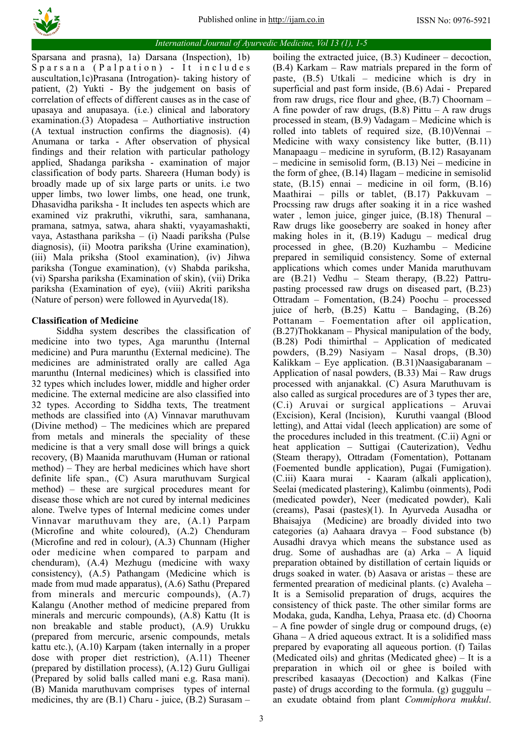

#### *International Journal of Ayurvedic Medicine, Vol 13 (1), 1-5*

Sparsana and prasna), 1a) Darsana (Inspection), 1b) Sparsana (Palpation) - It includes auscultation,1c)Prasana (Introgation)- taking history of patient, (2) Yukti - By the judgement on basis of correlation of effects of different causes as in the case of upasaya and anupasaya. (i.e.) clinical and laboratory examination.(3) Atopadesa – Authortiative instruction (A textual instruction confirms the diagnosis). (4) Anumana or tarka - After observation of physical findings and their relation with particular pathology applied, Shadanga pariksha - examination of major classification of body parts. Shareera (Human body) is broadly made up of six large parts or units. i.e two upper limbs, two lower limbs, one head, one trunk, Dhasavidha pariksha - It includes ten aspects which are examined viz prakruthi, vikruthi, sara, samhanana, pramana, satmya, satwa, ahara shakti, vyayamashakti, vaya, Astasthana pariksha – (i) Naadi pariksha (Pulse diagnosis), (ii) Mootra pariksha (Urine examination), (iii) Mala priksha (Stool examination), (iv) Jihwa pariksha (Tongue examination), (v) Shabda pariksha, (vi) Sparsha pariksha (Examination of skin), (vii) Drika pariksha (Examination of eye), (viii) Akriti pariksha (Nature of person) were followed in Ayurveda(18).

#### **Classification of Medicine**

Siddha system describes the classification of medicine into two types, Aga marunthu (Internal medicine) and Pura marunthu (External medicine). The medicines are administrated orally are called Aga marunthu (Internal medicines) which is classified into 32 types which includes lower, middle and higher order medicine. The external medicine are also classified into 32 types. According to Siddha texts, The treatment methods are classified into (A) Vinnavar maruthuvam (Divine method) – The medicines which are prepared from metals and minerals the speciality of these medicine is that a very small dose will brings a quick recovery, (B) Maanida maruthuvam (Human or rational method) – They are herbal medicines which have short definite life span., (C) Asura maruthuvam Surgical method) – these are surgical procedures meant for disease those which are not cured by internal medicines alone. Twelve types of Internal medicine comes under Vinnavar maruthuvam they are, (A.1) Parpam (Microfine and white coloured), (A.2) Chenduram (Microfine and red in colour), (A.3) Chunnam (Higher oder medicine when compared to parpam and chenduram), (A.4) Mezhugu (medicine with waxy consistency), (A.5) Pathangam (Medicine which is made from mud made apparatus), (A.6) Sathu (Prepared from minerals and mercuric compounds), (A.7) Kalangu (Another method of medicine prepared from minerals and mercuric compounds), (A.8) Kattu (It is non breakable and stable product), (A.9) Urukku (prepared from mercuric, arsenic compounds, metals kattu etc.), (A.10) Karpam (taken internally in a proper dose with proper diet restriction), (A.11) Theener (prepared by distillation process), (A.12) Guru Gulligai (Prepared by solid balls called mani e.g. Rasa mani). (B) Manida maruthuvam comprises types of internal medicines, thy are  $(B.1)$  Charu - juice,  $(B.2)$  Surasam –

boiling the extracted juice, (B.3) Kudineer – decoction, (B.4) Karkam – Raw matrials prepared in the form of paste, (B.5) Utkali – medicine which is dry in superficial and past form inside, (B.6) Adai - Prepared from raw drugs, rice flour and ghee, (B.7) Choornam – A fine powder of raw drugs,  $(B.8)$  Pittu – A raw drugs processed in steam, (B.9) Vadagam – Medicine which is rolled into tablets of required size, (B.10)Vennai – Medicine with waxy consistency like butter, (B.11) Manapaagu – medicine in syruform, (B.12) Rasayanam – medicine in semisolid form, (B.13) Nei – medicine in the form of ghee, (B.14) Ilagam – medicine in semisolid state, (B.15) ennai – medicine in oil form, (B.16) Maathirai – pills or tablet, (B.17) Pakkuvam – Procssing raw drugs after soaking it in a rice washed water , lemon juice, ginger juice, (B.18) Thenural – Raw drugs like gooseberry are soaked in honey after making holes in it, (B.19) Kadugu – medical drug processed in ghee, (B.20) Kuzhambu – Medicine prepared in semiliquid consistency. Some of external applications which comes under Manida maruthuvam are (B.21) Vedhu – Steam therapy, (B.22) Pattrupasting processed raw drugs on diseased part, (B.23) Ottradam – Fomentation, (B.24) Poochu – processed juice of herb, (B.25) Kattu – Bandaging, (B.26) Pottanam – Foementation after oil application, (B.27)Thokkanam – Physical manipulation of the body, (B.28) Podi thimirthal – Application of medicated powders, (B.29) Nasiyam – Nasal drops, (B.30) Kalikkam – Eye application. (B.31)Naasigabaranam – Application of nasal powders, (B.33) Mai – Raw drugs processed with anjanakkal. (C) Asura Maruthuvam is also called as surgical procedures are of 3 types ther are, (C.i) Aruvai or surgical applications – Aruvai (Excision), Keral (Incision), Kuruthi vaangal (Blood letting), and Attai vidal (leech application) are some of the procedures included in this treatment. (C.ii) Agni or heat application – Suttigai (Cauterization), Vedhu (Steam therapy), Ottradam (Fomentation), Pottanam (Foemented bundle application), Pugai (Fumigation). (C.iii) Kaara murai - Kaaram (alkali application), Seelai (medicated plastering), Kalimbu (oinments), Podi (medicated powder), Neer (medicated powder), Kali (creams), Pasai (pastes)(1). In Ayurveda Ausadha or Bhaisajya (Medicine) are broadly divided into two categories (a) Aahaara dravya – Food substance (b) Ausadhi dravya which means the substance used as drug. Some of aushadhas are (a) Arka – A liquid preparation obtained by distillation of certain liquids or drugs soaked in water. (b) Aasava or aristas – these are fermented prearation of medicinal plants. (c) Avaleha – It is a Semisolid preparation of drugs, acquires the consistency of thick paste. The other similar forms are Modaka, guda, Kandha, Lehya, Praasa etc. (d) Choorna – A fine powder of single drug or compound drugs, (e) Ghana – A dried aqueous extract. It is a solidified mass prepared by evaporating all aqueous portion. (f) Tailas (Medicated oils) and ghritas (Medicated ghee) – It is a preparation in which oil or ghee is boiled with prescribed kasaayas (Decoction) and Kalkas (Fine paste) of drugs according to the formula. (g) guggulu – an exudate obtaind from plant *Commiphora mukkul*.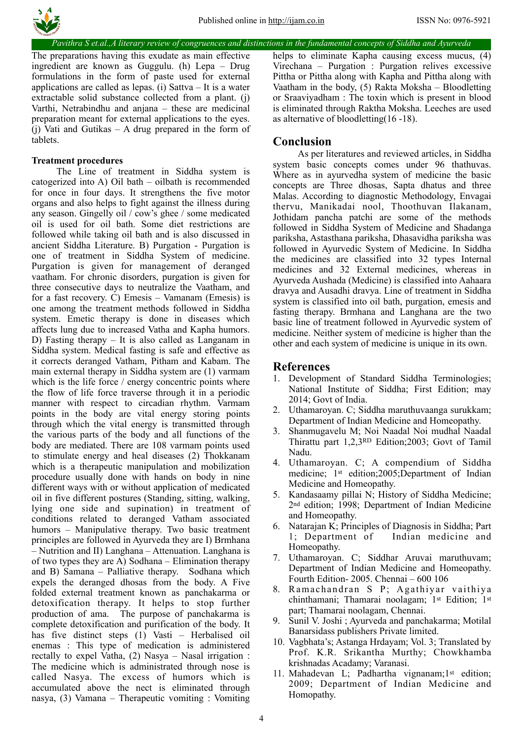

*Pavithra S et.al.,A literary review of congruences and distinctions in the fundamental concepts of Siddha and Ayurveda*

The preparations having this exudate as main effective ingredient are known as Guggulu. (h) Lepa – Drug formulations in the form of paste used for external applications are called as lepas. (i) Sattva – It is a water extractable solid substance collected from a plant. (j) Varthi, Netrabindhu and anjana – these are medicinal preparation meant for external applications to the eyes.  $(i)$  Vati and Gutikas – A drug prepared in the form of tablets.

#### **Treatment procedures**

The Line of treatment in Siddha system is catogerized into A) Oil bath – oilbath is recommended for once in four days. It strengthens the five motor organs and also helps to fight against the illness during any season. Gingelly oil / cow's ghee / some medicated oil is used for oil bath. Some diet restrictions are followed while taking oil bath and is also discussed in ancient Siddha Literature. B) Purgation - Purgation is one of treatment in Siddha System of medicine. Purgation is given for management of deranged vaatham. For chronic disorders, purgation is given for three consecutive days to neutralize the Vaatham, and for a fast recovery. C) Emesis – Vamanam (Emesis) is one among the treatment methods followed in Siddha system. Emetic therapy is done in diseases which affects lung due to increased Vatha and Kapha humors. D) Fasting therapy – It is also called as Langanam in Siddha system. Medical fasting is safe and effective as it corrects deranged Vatham, Pitham and Kabam. The main external therapy in Siddha system are (1) varmam which is the life force / energy concentric points where the flow of life force traverse through it in a periodic manner with respect to circadian rhythm. Varmam points in the body are vital energy storing points through which the vital energy is transmitted through the various parts of the body and all functions of the body are mediated. There are 108 varmam points used to stimulate energy and heal diseases (2) Thokkanam which is a therapeutic manipulation and mobilization procedure usually done with hands on body in nine different ways with or without application of medicated oil in five different postures (Standing, sitting, walking, lying one side and supination) in treatment of conditions related to deranged Vatham associated humors – Manipulative therapy. Two basic treatment principles are followed in Ayurveda they are I) Brmhana – Nutrition and II) Langhana – Attenuation. Langhana is of two types they are A) Sodhana – Elimination therapy and B) Samana – Palliative therapy. Sodhana which expels the deranged dhosas from the body. A Five folded external treatment known as panchakarma or detoxification therapy. It helps to stop further production of ama. The purpose of panchakarma is complete detoxification and purification of the body. It has five distinct steps (1) Vasti – Herbalised oil enemas : This type of medication is administered rectally to expel Vatha, (2) Nasya – Nasal irrigation : The medicine which is administrated through nose is called Nasya. The excess of humors which is accumulated above the nect is eliminated through nasya, (3) Vamana – Therapeutic vomiting : Vomiting

helps to eliminate Kapha causing excess mucus, (4) Virechana – Purgation : Purgation relives excessive Pittha or Pittha along with Kapha and Pittha along with Vaatham in the body, (5) Rakta Moksha – Bloodletting or Sraaviyadham : The toxin which is present in blood is eliminated through Raktha Moksha. Leeches are used as alternative of bloodletting(16 -18).

### **Conclusion**

As per literatures and reviewed articles, in Siddha system basic concepts comes under 96 thathuvas. Where as in ayurvedha system of medicine the basic concepts are Three dhosas, Sapta dhatus and three Malas. According to diagnostic Methodology, Envagai thervu, Manikadai nool, Thoothuvan Ilakanam, Jothidam pancha patchi are some of the methods followed in Siddha System of Medicine and Shadanga pariksha, Astasthana pariksha, Dhasavidha pariksha was followed in Ayurvedic System of Medicine. In Siddha the medicines are classified into 32 types Internal medicines and 32 External medicines, whereas in Ayurveda Aushada (Medicine) is classified into Aahaara dravya and Ausadhi dravya. Line of treatment in Siddha system is classified into oil bath, purgation, emesis and fasting therapy. Brmhana and Langhana are the two basic line of treatment followed in Ayurvedic system of medicine. Neither system of medicine is higher than the other and each system of medicine is unique in its own.

## **References**

- 1. Development of Standard Siddha Terminologies; National Institute of Siddha; First Edition; may 2014; Govt of India.
- 2. Uthamaroyan. C; Siddha maruthuvaanga surukkam; Department of Indian Medicine and Homeopathy.
- 3. Shanmugavelu M; Noi Naadal Noi mudhal Naadal Thirattu part 1,2,3RD Edition;2003; Govt of Tamil Nadu.
- 4. Uthamaroyan. C; A compendium of Siddha medicine; 1st edition;2005;Department of Indian Medicine and Homeopathy.
- 5. Kandasaamy pillai N; History of Siddha Medicine; 2nd edition; 1998; Department of Indian Medicine and Homeopathy.
- 6. Natarajan K; Principles of Diagnosis in Siddha; Part 1; Department of Indian medicine and Homeopathy.
- 7. Uthamaroyan. C; Siddhar Aruvai maruthuvam; Department of Indian Medicine and Homeopathy. Fourth Edition- 2005. Chennai – 600 106
- 8. Ramachandran S P; Agathiyar vaithiya chinthamani; Thamarai noolagam; 1st Edition; 1st part; Thamarai noolagam, Chennai.
- 9. Sunil V. Joshi ; Ayurveda and panchakarma; Motilal Banarsidass publishers Private limited.
- 10. Vagbhata's; Astanga Hrdayam; Vol. 3; Translated by Prof. K.R. Srikantha Murthy; Chowkhamba krishnadas Acadamy; Varanasi.
- 11. Mahadevan L; Padhartha vignanam;1<sup>st</sup> edition; 2009; Department of Indian Medicine and Homopathy.